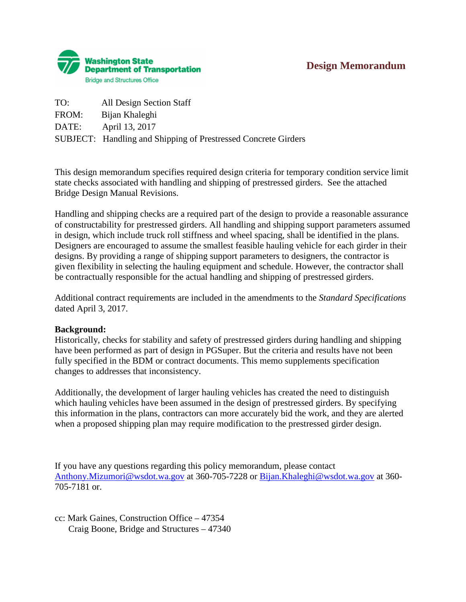# **Design Memorandum**



| TO:   | All Design Section Staff                                              |
|-------|-----------------------------------------------------------------------|
| FROM: | Bijan Khaleghi                                                        |
| DATE: | April 13, 2017                                                        |
|       | <b>SUBJECT:</b> Handling and Shipping of Prestressed Concrete Girders |

This design memorandum specifies required design criteria for temporary condition service limit state checks associated with handling and shipping of prestressed girders. See the attached Bridge Design Manual Revisions.

Handling and shipping checks are a required part of the design to provide a reasonable assurance of constructability for prestressed girders. All handling and shipping support parameters assumed in design, which include truck roll stiffness and wheel spacing, shall be identified in the plans. Designers are encouraged to assume the smallest feasible hauling vehicle for each girder in their designs. By providing a range of shipping support parameters to designers, the contractor is given flexibility in selecting the hauling equipment and schedule. However, the contractor shall be contractually responsible for the actual handling and shipping of prestressed girders.

Additional contract requirements are included in the amendments to the *Standard Specifications* dated April 3, 2017.

#### **Background:**

Historically, checks for stability and safety of prestressed girders during handling and shipping have been performed as part of design in PGSuper. But the criteria and results have not been fully specified in the BDM or contract documents. This memo supplements specification changes to addresses that inconsistency.

Additionally, the development of larger hauling vehicles has created the need to distinguish which hauling vehicles have been assumed in the design of prestressed girders. By specifying this information in the plans, contractors can more accurately bid the work, and they are alerted when a proposed shipping plan may require modification to the prestressed girder design.

If you have any questions regarding this policy memorandum, please contact [Anthony.Mizumori@wsdot.wa.gov](mailto:Anthony.Mizumori@wsdot.wa.gov) at 360-705-7228 or [Bijan.Khaleghi@wsdot.wa.gov](mailto:Bijan.Khaleghi@wsdot.wa.gov) at 360- 705-7181 or.

cc: Mark Gaines, Construction Office – 47354 Craig Boone, Bridge and Structures – 47340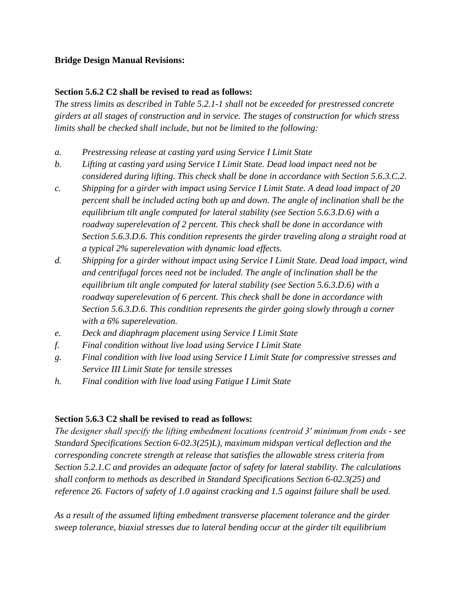## **Bridge Design Manual Revisions:**

## **Section 5.6.2 C2 shall be revised to read as follows:**

*The stress limits as described in Table 5.2.1-1 shall not be exceeded for prestressed concrete girders at all stages of construction and in service. The stages of construction for which stress limits shall be checked shall include, but not be limited to the following:*

- *a. Prestressing release at casting yard using Service I Limit State*
- *b. Lifting at casting yard using Service I Limit State. Dead load impact need not be considered during lifting. This check shall be done in accordance with Section 5.6.3.C.2.*
- *c. Shipping for a girder with impact using Service I Limit State. A dead load impact of 20 percent shall be included acting both up and down. The angle of inclination shall be the equilibrium tilt angle computed for lateral stability (see Section 5.6.3.D.6) with a roadway superelevation of 2 percent. This check shall be done in accordance with Section 5.6.3.D.6. This condition represents the girder traveling along a straight road at a typical 2% superelevation with dynamic load effects.*
- *d. Shipping for a girder without impact using Service I Limit State. Dead load impact, wind and centrifugal forces need not be included. The angle of inclination shall be the equilibrium tilt angle computed for lateral stability (see Section 5.6.3.D.6) with a roadway superelevation of 6 percent. This check shall be done in accordance with Section 5.6.3.D.6. This condition represents the girder going slowly through a corner with a 6% superelevation.*
- *e. Deck and diaphragm placement using Service I Limit State*
- *f. Final condition without live load using Service I Limit State*
- *g. Final condition with live load using Service I Limit State for compressive stresses and Service III Limit State for tensile stresses*
- *h. Final condition with live load using Fatigue I Limit State*

#### **Section 5.6.3 C2 shall be revised to read as follows:**

*The designer shall specify the lifting embedment locations (centroid 3′ minimum from ends - see Standard Specifications Section 6-02.3(25)L), maximum midspan vertical deflection and the corresponding concrete strength at release that satisfies the allowable stress criteria from Section 5.2.1.C and provides an adequate factor of safety for lateral stability. The calculations shall conform to methods as described in Standard Specifications Section 6-02.3(25) and reference 26. Factors of safety of 1.0 against cracking and 1.5 against failure shall be used.*

*As a result of the assumed lifting embedment transverse placement tolerance and the girder sweep tolerance, biaxial stresses due to lateral bending occur at the girder tilt equilibrium*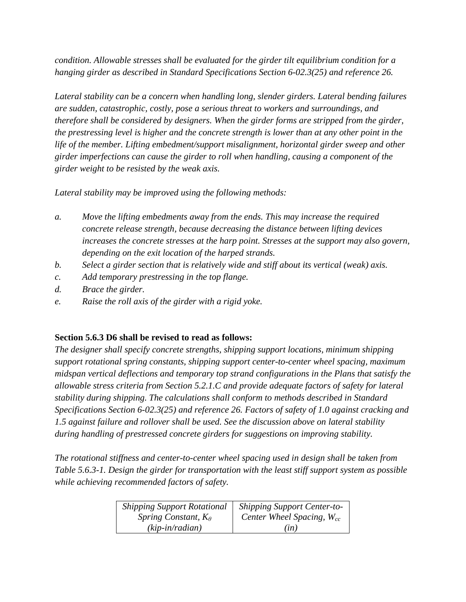*condition. Allowable stresses shall be evaluated for the girder tilt equilibrium condition for a hanging girder as described in Standard Specifications Section 6-02.3(25) and reference 26.*

*Lateral stability can be a concern when handling long, slender girders. Lateral bending failures are sudden, catastrophic, costly, pose a serious threat to workers and surroundings, and therefore shall be considered by designers. When the girder forms are stripped from the girder, the prestressing level is higher and the concrete strength is lower than at any other point in the life of the member. Lifting embedment/support misalignment, horizontal girder sweep and other girder imperfections can cause the girder to roll when handling, causing a component of the girder weight to be resisted by the weak axis.*

*Lateral stability may be improved using the following methods:*

- *a. Move the lifting embedments away from the ends. This may increase the required concrete release strength, because decreasing the distance between lifting devices increases the concrete stresses at the harp point. Stresses at the support may also govern, depending on the exit location of the harped strands.*
- *b. Select a girder section that is relatively wide and stiff about its vertical (weak) axis.*
- *c. Add temporary prestressing in the top flange.*
- *d. Brace the girder.*
- *e. Raise the roll axis of the girder with a rigid yoke.*

# **Section 5.6.3 D6 shall be revised to read as follows:**

*The designer shall specify concrete strengths, shipping support locations, minimum shipping support rotational spring constants, shipping support center-to-center wheel spacing, maximum midspan vertical deflections and temporary top strand configurations in the Plans that satisfy the allowable stress criteria from Section 5.2.1.C and provide adequate factors of safety for lateral stability during shipping. The calculations shall conform to methods described in Standard Specifications Section 6-02.3(25) and reference 26. Factors of safety of 1.0 against cracking and 1.5 against failure and rollover shall be used. See the discussion above on lateral stability during handling of prestressed concrete girders for suggestions on improving stability.*

*The rotational stiffness and center-to-center wheel spacing used in design shall be taken from Table 5.6.3-1. Design the girder for transportation with the least stiff support system as possible while achieving recommended factors of safety.*

| <b>Shipping Support Rotational</b> | <b>Shipping Support Center-to-</b> |  |
|------------------------------------|------------------------------------|--|
| Spring Constant, $K_{\theta}$      | Center Wheel Spacing, $W_{cc}$     |  |
| $(kip-in/radian)$                  | (in)                               |  |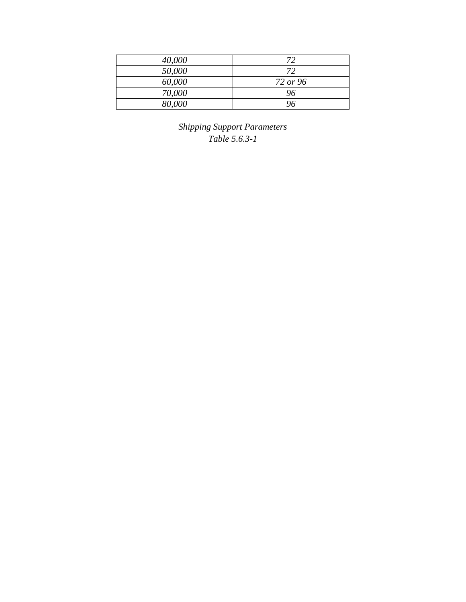| 40,000 | 72       |
|--------|----------|
| 50,000 | 72       |
| 60,000 | 72 or 96 |
| 70,000 | 96       |
| 80,000 | ገለ       |

*Shipping Support Parameters Table 5.6.3-1*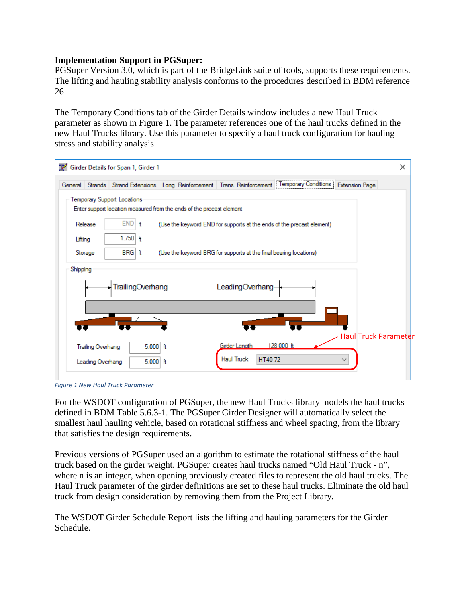#### **Implementation Support in PGSuper:**

PGSuper Version 3.0, which is part of the BridgeLink suite of tools, supports these requirements. The lifting and hauling stability analysis conforms to the procedures described in BDM reference 26.

The Temporary Conditions tab of the Girder Details window includes a new Haul Truck parameter as shown in [Figure 1.](#page-4-0) The parameter references one of the haul trucks defined in the new Haul Trucks library. Use this parameter to specify a haul truck configuration for hauling stress and stability analysis.



<span id="page-4-0"></span>*Figure 1 New Haul Truck Parameter*

For the WSDOT configuration of PGSuper, the new Haul Trucks library models the haul trucks defined in BDM Table 5.6.3-1. The PGSuper Girder Designer will automatically select the smallest haul hauling vehicle, based on rotational stiffness and wheel spacing, from the library that satisfies the design requirements.

Previous versions of PGSuper used an algorithm to estimate the rotational stiffness of the haul truck based on the girder weight. PGSuper creates haul trucks named "Old Haul Truck - n", where n is an integer, when opening previously created files to represent the old haul trucks. The Haul Truck parameter of the girder definitions are set to these haul trucks. Eliminate the old haul truck from design consideration by removing them from the Project Library.

The WSDOT Girder Schedule Report lists the lifting and hauling parameters for the Girder Schedule.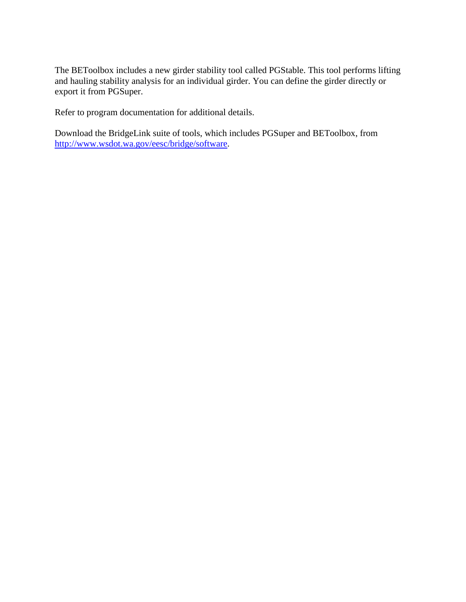The BEToolbox includes a new girder stability tool called PGStable. This tool performs lifting and hauling stability analysis for an individual girder. You can define the girder directly or export it from PGSuper.

Refer to program documentation for additional details.

Download the BridgeLink suite of tools, which includes PGSuper and BEToolbox, from [http://www.wsdot.wa.gov/eesc/bridge/software.](http://www.wsdot.wa.gov/eesc/bridge/software)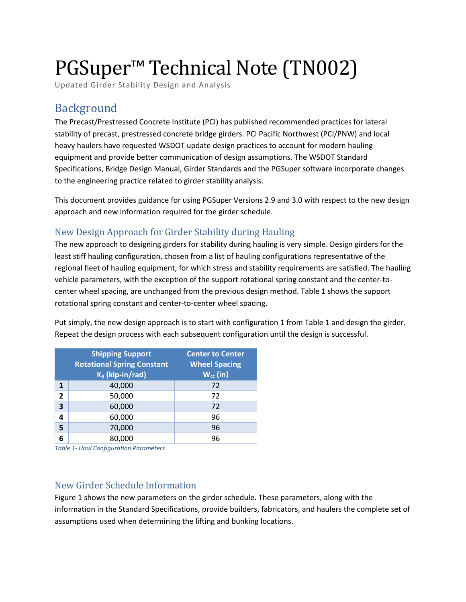# PGSuper<sup>™</sup> Technical Note (TN002)

Updated Girder Stability Design and Analysis

# Background

The Precast/Prestressed Concrete Institute (PCI) has published recommended practices for lateral stability of precast, prestressed concrete bridge girders. PCI Pacific Northwest (PCI/PNW) and local heavy haulers have requested WSDOT update design practices to account for modern hauling equipment and provide better communication of design assumptions. The WSDOT Standard Specifications, Bridge Design Manual, Girder Standards and the PGSuper software incorporate changes to the engineering practice related to girder stability analysis.

This document provides guidance for using PGSuper Versions 2.9 and 3.0 with respect to the new design approach and new information required for the girder schedule.

# New Design Approach for Girder Stability during Hauling

The new approach to designing girders for stability during hauling is very simple. Design girders for the least stiff hauling configuration, chosen from a list of hauling configurations representative of the regional fleet of hauling equipment, for which stress and stability requirements are satisfied. The hauling vehicle parameters, with the exception of the support rotational spring constant and the center-tocenter wheel spacing, are unchanged from the previous design method. Table 1 shows the support rotational spring constant and center-to-center wheel spacing.

Put simply, the new design approach is to start with configuration 1 from Table 1 and design the girder. Repeat the design process with each subsequent configuration until the design is successful.

|                | <b>Shipping Support</b><br><b>Rotational Spring Constant</b><br>$K_{\theta}$ (kip-in/rad) | <b>Center to Center</b><br><b>Wheel Spacing</b><br>$W_{cc}$ (in) |  |
|----------------|-------------------------------------------------------------------------------------------|------------------------------------------------------------------|--|
| 1              | 40,000                                                                                    | 72                                                               |  |
| $\overline{2}$ | 50,000                                                                                    | 72                                                               |  |
| 3              | 60,000                                                                                    | 72                                                               |  |
| 4              | 60,000                                                                                    | 96                                                               |  |
| 5              | 70,000                                                                                    | 96                                                               |  |
| 6              | 80,000                                                                                    | 96                                                               |  |

*Table 1- Haul Configuration Parameters*

# New Girder Schedule Information

Figure 1 shows the new parameters on the girder schedule. These parameters, along with the information in the Standard Specifications, provide builders, fabricators, and haulers the complete set of assumptions used when determining the lifting and bunking locations.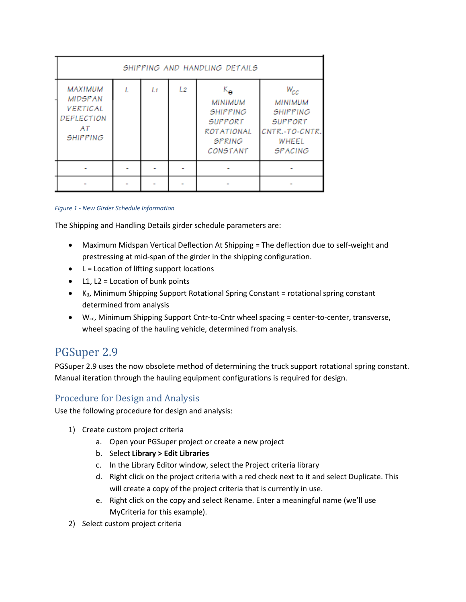| SHIPPING AND HANDLING DETAILS                                                              |  |    |    |                                                                                                                                |                                                                                                              |  |  |  |
|--------------------------------------------------------------------------------------------|--|----|----|--------------------------------------------------------------------------------------------------------------------------------|--------------------------------------------------------------------------------------------------------------|--|--|--|
| <b>MAXIMUM</b><br><b>MIDSPAN</b><br><b>VERTICAL</b><br>DEFLECTION<br>AT<br><b>SHIPPING</b> |  | L1 | L2 | $K_{\mathbf{\Theta}}$<br><b>MINIMUM</b><br><b>SHIPPING</b><br><b>SUPPORT</b><br><b>ROTATIONAL</b><br><b>SPRING</b><br>CONSTANT | $W_{CC}$<br><b>MINIMUM</b><br><b>SHIPPING</b><br><b>SUPPORT</b><br>CNTR.-TO-CNTR.<br>WHEEL<br><b>SPACING</b> |  |  |  |
|                                                                                            |  |    |    |                                                                                                                                |                                                                                                              |  |  |  |
|                                                                                            |  |    |    |                                                                                                                                |                                                                                                              |  |  |  |

#### *Figure 1 - New Girder Schedule Information*

The Shipping and Handling Details girder schedule parameters are:

- Maximum Midspan Vertical Deflection At Shipping = The deflection due to self-weight and prestressing at mid-span of the girder in the shipping configuration.
- $\bullet$  L = Location of lifting support locations
- $\bullet$  L1, L2 = Location of bunk points
- $\bullet$  K<sub>0</sub>, Minimum Shipping Support Rotational Spring Constant = rotational spring constant determined from analysis
- $\bullet$  W<sub>cc</sub>, Minimum Shipping Support Cntr-to-Cntr wheel spacing = center-to-center, transverse, wheel spacing of the hauling vehicle, determined from analysis.

# PGSuper 2.9

PGSuper 2.9 uses the now obsolete method of determining the truck support rotational spring constant. Manual iteration through the hauling equipment configurations is required for design.

# Procedure for Design and Analysis

Use the following procedure for design and analysis:

- 1) Create custom project criteria
	- a. Open your PGSuper project or create a new project
	- b. Select **Library > Edit Libraries**
	- c. In the Library Editor window, select the Project criteria library
	- d. Right click on the project criteria with a red check next to it and select Duplicate. This will create a copy of the project criteria that is currently in use.
	- e. Right click on the copy and select Rename. Enter a meaningful name (we'll use MyCriteria for this example).
- 2) Select custom project criteria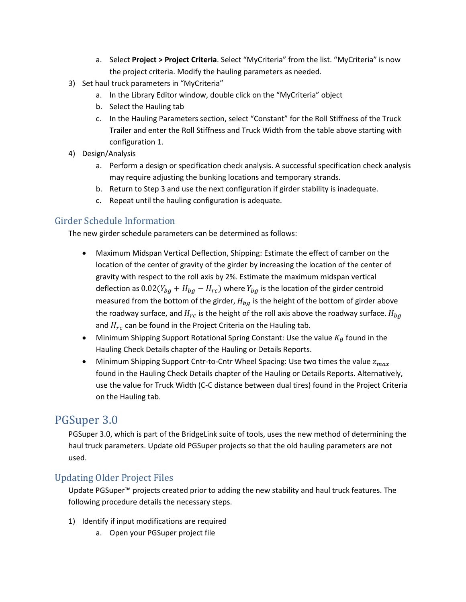- a. Select **Project > Project Criteria**. Select "MyCriteria" from the list. "MyCriteria" is now the project criteria. Modify the hauling parameters as needed.
- 3) Set haul truck parameters in "MyCriteria"
	- a. In the Library Editor window, double click on the "MyCriteria" object
	- b. Select the Hauling tab
	- c. In the Hauling Parameters section, select "Constant" for the Roll Stiffness of the Truck Trailer and enter the Roll Stiffness and Truck Width from the table above starting with configuration 1.
- 4) Design/Analysis
	- a. Perform a design or specification check analysis. A successful specification check analysis may require adjusting the bunking locations and temporary strands.
	- b. Return to Step 3 and use the next configuration if girder stability is inadequate.
	- c. Repeat until the hauling configuration is adequate.

# Girder Schedule Information

The new girder schedule parameters can be determined as follows:

- Maximum Midspan Vertical Deflection, Shipping: Estimate the effect of camber on the location of the center of gravity of the girder by increasing the location of the center of gravity with respect to the roll axis by 2%. Estimate the maximum midspan vertical deflection as  $0.02(Y_{bg} + H_{bg} - H_{rc})$  where  $Y_{bg}$  is the location of the girder centroid measured from the bottom of the girder,  $H_{ba}$  is the height of the bottom of girder above the roadway surface, and  $H_{rc}$  is the height of the roll axis above the roadway surface.  $H_{ba}$ and  $H_{rc}$  can be found in the Project Criteria on the Hauling tab.
- Minimum Shipping Support Rotational Spring Constant: Use the value  $K_{\theta}$  found in the Hauling Check Details chapter of the Hauling or Details Reports.
- Minimum Shipping Support Cntr-to-Cntr Wheel Spacing: Use two times the value  $z_{max}$ found in the Hauling Check Details chapter of the Hauling or Details Reports. Alternatively, use the value for Truck Width (C-C distance between dual tires) found in the Project Criteria on the Hauling tab.

# PGSuper 3.0

PGSuper 3.0, which is part of the BridgeLink suite of tools, uses the new method of determining the haul truck parameters. Update old PGSuper projects so that the old hauling parameters are not used.

# Updating Older Project Files

Update PGSuper<sup>™</sup> projects created prior to adding the new stability and haul truck features. The following procedure details the necessary steps.

- 1) Identify if input modifications are required
	- a. Open your PGSuper project file